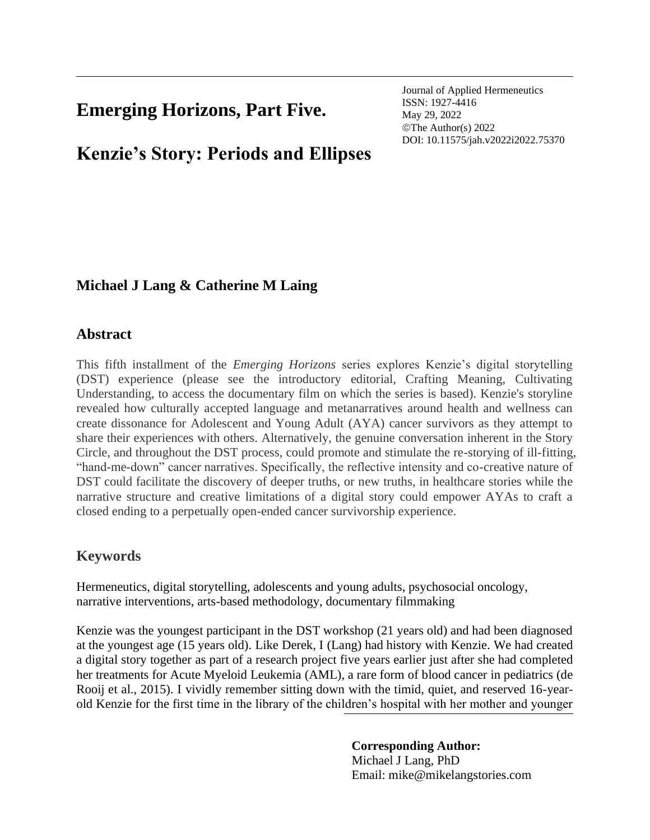## **Emerging Horizons, Part Five.**

Journal of Applied Hermeneutics ISSN: 1927-4416 May 29, 2022 ©The Author(s) 2022 DOI: 10.11575/jah.v2022i2022.75370

# **Kenzie's Story: Periods and Ellipses**

## **Michael J Lang & Catherine M Laing**

## **Abstract**

This fifth installment of the *Emerging Horizons* series explores Kenzie's digital storytelling (DST) experience (please see the introductory editorial, Crafting Meaning, Cultivating Understanding, to access the documentary film on which the series is based). Kenzie's storyline revealed how culturally accepted language and metanarratives around health and wellness can create dissonance for Adolescent and Young Adult (AYA) cancer survivors as they attempt to share their experiences with others. Alternatively, the genuine conversation inherent in the Story Circle, and throughout the DST process, could promote and stimulate the re-storying of ill-fitting, "hand-me-down" cancer narratives. Specifically, the reflective intensity and co-creative nature of DST could facilitate the discovery of deeper truths, or new truths, in healthcare stories while the narrative structure and creative limitations of a digital story could empower AYAs to craft a closed ending to a perpetually open-ended cancer survivorship experience.

## **Keywords**

Hermeneutics, digital storytelling, adolescents and young adults, psychosocial oncology, narrative interventions, arts-based methodology, documentary filmmaking

Kenzie was the youngest participant in the DST workshop (21 years old) and had been diagnosed at the youngest age (15 years old). Like Derek, I (Lang) had history with Kenzie. We had created a digital story together as part of a research project five years earlier just after she had completed her treatments for Acute Myeloid Leukemia (AML), a rare form of blood cancer in pediatrics (de Rooij et al., 2015). I vividly remember sitting down with the timid, quiet, and reserved 16-yearold Kenzie for the first time in the library of the children's hospital with her mother and younger

## **Corresponding Author:**

Michael J Lang, PhD Email: mike@mikelangstories.com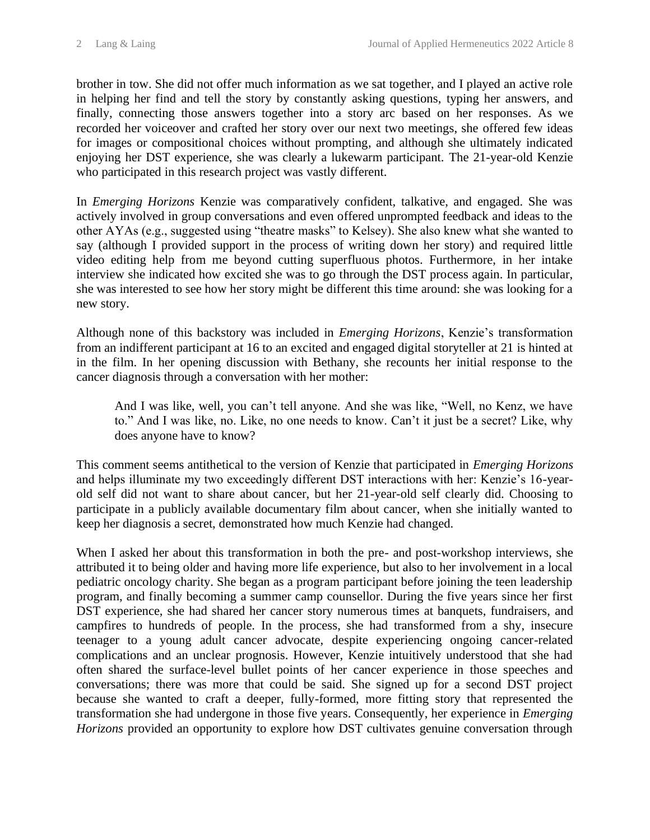brother in tow. She did not offer much information as we sat together, and I played an active role in helping her find and tell the story by constantly asking questions, typing her answers, and finally, connecting those answers together into a story arc based on her responses. As we recorded her voiceover and crafted her story over our next two meetings, she offered few ideas for images or compositional choices without prompting, and although she ultimately indicated enjoying her DST experience, she was clearly a lukewarm participant. The 21-year-old Kenzie who participated in this research project was vastly different.

In *Emerging Horizons* Kenzie was comparatively confident, talkative, and engaged. She was actively involved in group conversations and even offered unprompted feedback and ideas to the other AYAs (e.g., suggested using "theatre masks" to Kelsey). She also knew what she wanted to say (although I provided support in the process of writing down her story) and required little video editing help from me beyond cutting superfluous photos. Furthermore, in her intake interview she indicated how excited she was to go through the DST process again. In particular, she was interested to see how her story might be different this time around: she was looking for a new story.

Although none of this backstory was included in *Emerging Horizons*, Kenzie's transformation from an indifferent participant at 16 to an excited and engaged digital storyteller at 21 is hinted at in the film. In her opening discussion with Bethany, she recounts her initial response to the cancer diagnosis through a conversation with her mother:

And I was like, well, you can't tell anyone. And she was like, "Well, no Kenz, we have to." And I was like, no. Like, no one needs to know. Can't it just be a secret? Like, why does anyone have to know?

This comment seems antithetical to the version of Kenzie that participated in *Emerging Horizons* and helps illuminate my two exceedingly different DST interactions with her: Kenzie's 16-yearold self did not want to share about cancer, but her 21-year-old self clearly did. Choosing to participate in a publicly available documentary film about cancer, when she initially wanted to keep her diagnosis a secret, demonstrated how much Kenzie had changed.

When I asked her about this transformation in both the pre- and post-workshop interviews, she attributed it to being older and having more life experience, but also to her involvement in a local pediatric oncology charity. She began as a program participant before joining the teen leadership program, and finally becoming a summer camp counsellor. During the five years since her first DST experience, she had shared her cancer story numerous times at banquets, fundraisers, and campfires to hundreds of people. In the process, she had transformed from a shy, insecure teenager to a young adult cancer advocate, despite experiencing ongoing cancer-related complications and an unclear prognosis. However, Kenzie intuitively understood that she had often shared the surface-level bullet points of her cancer experience in those speeches and conversations; there was more that could be said. She signed up for a second DST project because she wanted to craft a deeper, fully-formed, more fitting story that represented the transformation she had undergone in those five years. Consequently, her experience in *Emerging Horizons* provided an opportunity to explore how DST cultivates genuine conversation through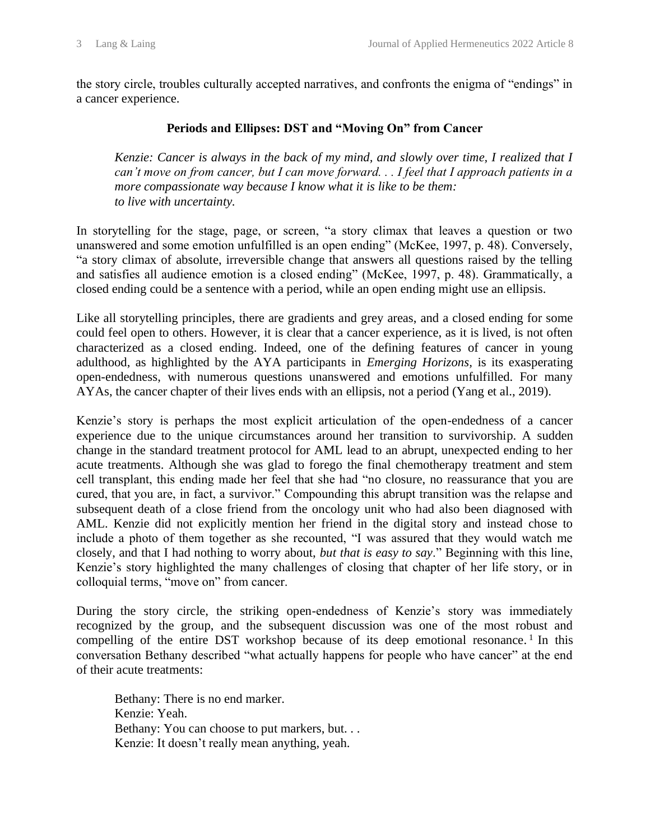the story circle, troubles culturally accepted narratives, and confronts the enigma of "endings" in a cancer experience.

#### **Periods and Ellipses: DST and "Moving On" from Cancer**

*Kenzie: Cancer is always in the back of my mind, and slowly over time, I realized that I can't move on from cancer, but I can move forward. . . I feel that I approach patients in a more compassionate way because I know what it is like to be them: to live with uncertainty.* 

In storytelling for the stage, page, or screen, "a story climax that leaves a question or two unanswered and some emotion unfulfilled is an open ending" (McKee, 1997, p. 48). Conversely, "a story climax of absolute, irreversible change that answers all questions raised by the telling and satisfies all audience emotion is a closed ending" (McKee, 1997, p. 48). Grammatically, a closed ending could be a sentence with a period, while an open ending might use an ellipsis.

Like all storytelling principles, there are gradients and grey areas, and a closed ending for some could feel open to others. However, it is clear that a cancer experience, as it is lived, is not often characterized as a closed ending. Indeed, one of the defining features of cancer in young adulthood, as highlighted by the AYA participants in *Emerging Horizons,* is its exasperating open-endedness, with numerous questions unanswered and emotions unfulfilled. For many AYAs, the cancer chapter of their lives ends with an ellipsis, not a period (Yang et al., 2019).

Kenzie's story is perhaps the most explicit articulation of the open-endedness of a cancer experience due to the unique circumstances around her transition to survivorship. A sudden change in the standard treatment protocol for AML lead to an abrupt, unexpected ending to her acute treatments. Although she was glad to forego the final chemotherapy treatment and stem cell transplant, this ending made her feel that she had "no closure, no reassurance that you are cured, that you are, in fact, a survivor." Compounding this abrupt transition was the relapse and subsequent death of a close friend from the oncology unit who had also been diagnosed with AML. Kenzie did not explicitly mention her friend in the digital story and instead chose to include a photo of them together as she recounted, "I was assured that they would watch me closely, and that I had nothing to worry about, *but that is easy to say*." Beginning with this line, Kenzie's story highlighted the many challenges of closing that chapter of her life story, or in colloquial terms, "move on" from cancer.

During the story circle, the striking open-endedness of Kenzie's story was immediately recognized by the group, and the subsequent discussion was one of the most robust and compelling of the entire DST workshop because of its deep emotional resonance.<sup>1</sup> In this conversation Bethany described "what actually happens for people who have cancer" at the end of their acute treatments:

Bethany: There is no end marker. Kenzie: Yeah. Bethany: You can choose to put markers, but. . . Kenzie: It doesn't really mean anything, yeah.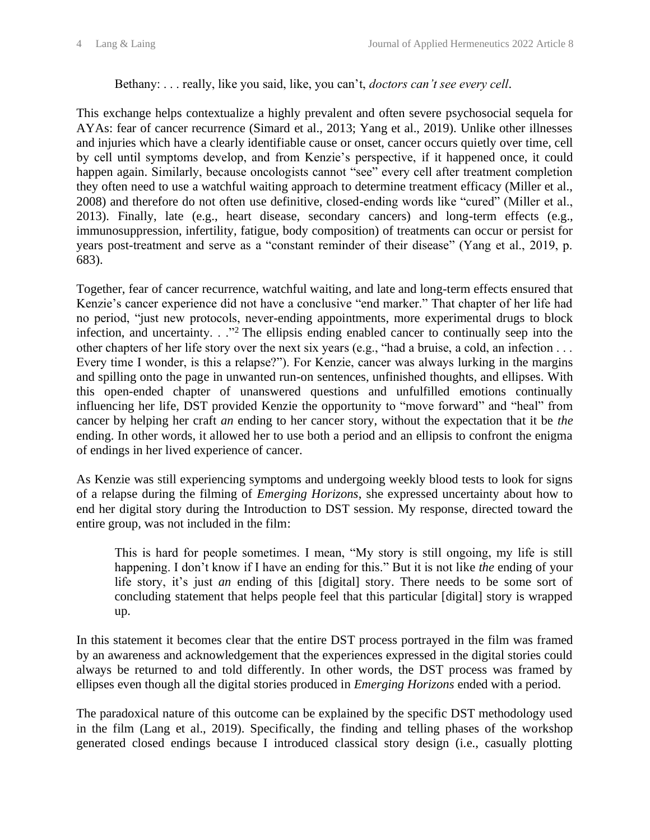#### Bethany: . . . really, like you said, like, you can't, *doctors can't see every cell*.

This exchange helps contextualize a highly prevalent and often severe psychosocial sequela for AYAs: fear of cancer recurrence (Simard et al., 2013; Yang et al., 2019). Unlike other illnesses and injuries which have a clearly identifiable cause or onset, cancer occurs quietly over time, cell by cell until symptoms develop, and from Kenzie's perspective, if it happened once, it could happen again. Similarly, because oncologists cannot "see" every cell after treatment completion they often need to use a watchful waiting approach to determine treatment efficacy (Miller et al., 2008) and therefore do not often use definitive, closed-ending words like "cured" (Miller et al., 2013). Finally, late (e.g., heart disease, secondary cancers) and long-term effects (e.g., immunosuppression, infertility, fatigue, body composition) of treatments can occur or persist for years post-treatment and serve as a "constant reminder of their disease" (Yang et al., 2019, p. 683).

Together, fear of cancer recurrence, watchful waiting, and late and long-term effects ensured that Kenzie's cancer experience did not have a conclusive "end marker." That chapter of her life had no period, "just new protocols, never-ending appointments, more experimental drugs to block infection, and uncertainty. . ."<sup>2</sup> The ellipsis ending enabled cancer to continually seep into the other chapters of her life story over the next six years (e.g., "had a bruise, a cold, an infection . . . Every time I wonder, is this a relapse?"). For Kenzie, cancer was always lurking in the margins and spilling onto the page in unwanted run-on sentences, unfinished thoughts, and ellipses. With this open-ended chapter of unanswered questions and unfulfilled emotions continually influencing her life, DST provided Kenzie the opportunity to "move forward" and "heal" from cancer by helping her craft *an* ending to her cancer story, without the expectation that it be *the* ending. In other words, it allowed her to use both a period and an ellipsis to confront the enigma of endings in her lived experience of cancer.

As Kenzie was still experiencing symptoms and undergoing weekly blood tests to look for signs of a relapse during the filming of *Emerging Horizons*, she expressed uncertainty about how to end her digital story during the Introduction to DST session. My response, directed toward the entire group, was not included in the film:

This is hard for people sometimes. I mean, "My story is still ongoing, my life is still happening. I don't know if I have an ending for this." But it is not like *the* ending of your life story, it's just *an* ending of this [digital] story. There needs to be some sort of concluding statement that helps people feel that this particular [digital] story is wrapped up.

In this statement it becomes clear that the entire DST process portrayed in the film was framed by an awareness and acknowledgement that the experiences expressed in the digital stories could always be returned to and told differently. In other words, the DST process was framed by ellipses even though all the digital stories produced in *Emerging Horizons* ended with a period.

The paradoxical nature of this outcome can be explained by the specific DST methodology used in the film (Lang et al., 2019). Specifically, the finding and telling phases of the workshop generated closed endings because I introduced classical story design (i.e., casually plotting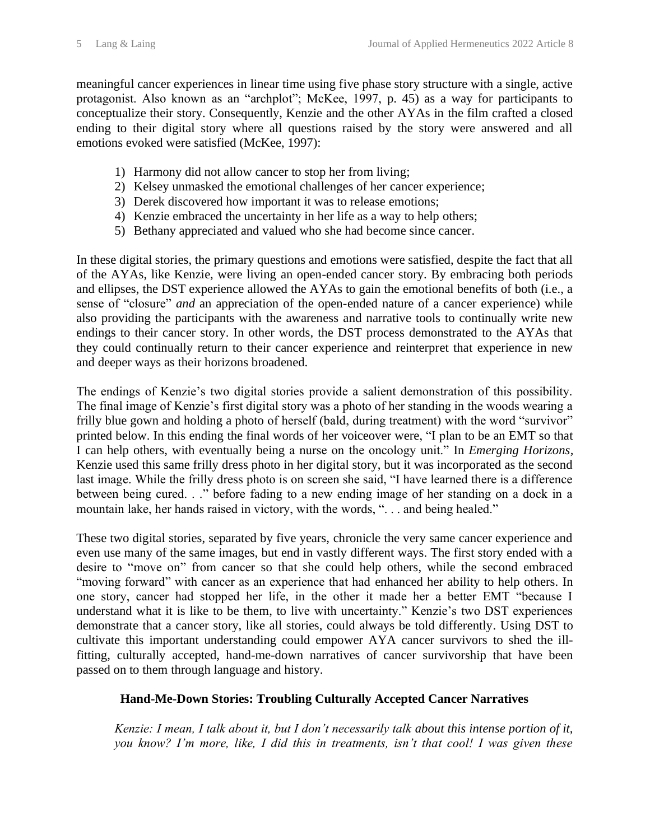meaningful cancer experiences in linear time using five phase story structure with a single, active protagonist. Also known as an "archplot"; McKee, 1997, p. 45) as a way for participants to conceptualize their story. Consequently, Kenzie and the other AYAs in the film crafted a closed ending to their digital story where all questions raised by the story were answered and all emotions evoked were satisfied (McKee, 1997):

- 1) Harmony did not allow cancer to stop her from living;
- 2) Kelsey unmasked the emotional challenges of her cancer experience;
- 3) Derek discovered how important it was to release emotions;
- 4) Kenzie embraced the uncertainty in her life as a way to help others;
- 5) Bethany appreciated and valued who she had become since cancer.

In these digital stories, the primary questions and emotions were satisfied, despite the fact that all of the AYAs, like Kenzie, were living an open-ended cancer story. By embracing both periods and ellipses, the DST experience allowed the AYAs to gain the emotional benefits of both (i.e., a sense of "closure" *and* an appreciation of the open-ended nature of a cancer experience) while also providing the participants with the awareness and narrative tools to continually write new endings to their cancer story. In other words, the DST process demonstrated to the AYAs that they could continually return to their cancer experience and reinterpret that experience in new and deeper ways as their horizons broadened.

The endings of Kenzie's two digital stories provide a salient demonstration of this possibility. The final image of Kenzie's first digital story was a photo of her standing in the woods wearing a frilly blue gown and holding a photo of herself (bald, during treatment) with the word "survivor" printed below. In this ending the final words of her voiceover were, "I plan to be an EMT so that I can help others, with eventually being a nurse on the oncology unit." In *Emerging Horizons,* Kenzie used this same frilly dress photo in her digital story, but it was incorporated as the second last image. While the frilly dress photo is on screen she said, "I have learned there is a difference between being cured. . ." before fading to a new ending image of her standing on a dock in a mountain lake, her hands raised in victory, with the words, ". . . and being healed."

These two digital stories, separated by five years, chronicle the very same cancer experience and even use many of the same images, but end in vastly different ways. The first story ended with a desire to "move on" from cancer so that she could help others, while the second embraced "moving forward" with cancer as an experience that had enhanced her ability to help others. In one story, cancer had stopped her life, in the other it made her a better EMT "because I understand what it is like to be them, to live with uncertainty." Kenzie's two DST experiences demonstrate that a cancer story, like all stories, could always be told differently. Using DST to cultivate this important understanding could empower AYA cancer survivors to shed the illfitting, culturally accepted, hand-me-down narratives of cancer survivorship that have been passed on to them through language and history.

#### **Hand-Me-Down Stories: Troubling Culturally Accepted Cancer Narratives**

*Kenzie: I mean, I talk about it, but I don't necessarily talk about this intense portion of it, you know? I'm more, like, I did this in treatments, isn't that cool! I was given these*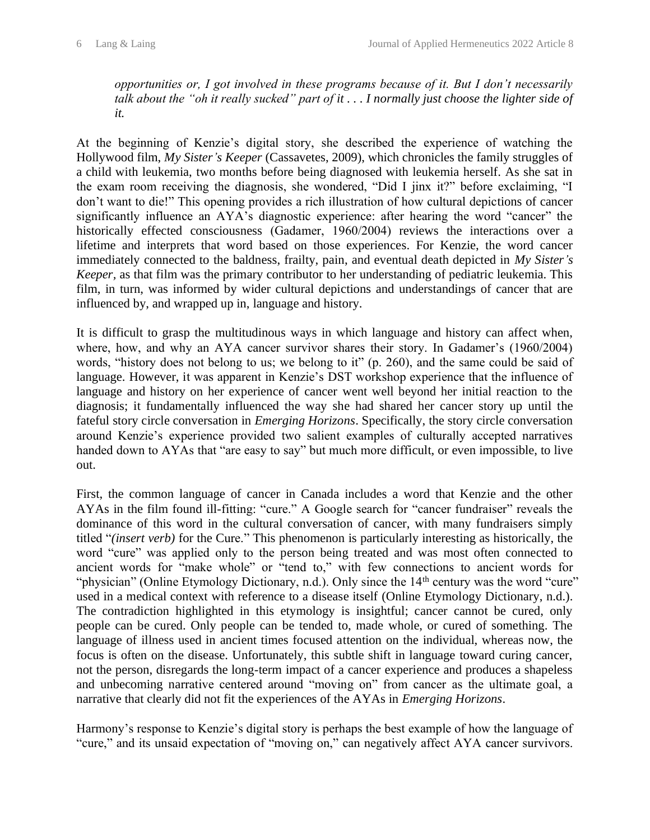*opportunities or, I got involved in these programs because of it. But I don't necessarily talk about the "oh it really sucked" part of it . . . I normally just choose the lighter side of it.*

At the beginning of Kenzie's digital story, she described the experience of watching the Hollywood film, *My Sister's Keeper* (Cassavetes, 2009), which chronicles the family struggles of a child with leukemia, two months before being diagnosed with leukemia herself. As she sat in the exam room receiving the diagnosis, she wondered, "Did I jinx it?" before exclaiming, "I don't want to die!" This opening provides a rich illustration of how cultural depictions of cancer significantly influence an AYA's diagnostic experience: after hearing the word "cancer" the historically effected consciousness (Gadamer, 1960/2004) reviews the interactions over a lifetime and interprets that word based on those experiences. For Kenzie, the word cancer immediately connected to the baldness, frailty, pain, and eventual death depicted in *My Sister's Keeper,* as that film was the primary contributor to her understanding of pediatric leukemia. This film, in turn, was informed by wider cultural depictions and understandings of cancer that are influenced by, and wrapped up in, language and history.

It is difficult to grasp the multitudinous ways in which language and history can affect when, where, how, and why an AYA cancer survivor shares their story. In Gadamer's (1960/2004) words, "history does not belong to us; we belong to it" (p. 260), and the same could be said of language. However, it was apparent in Kenzie's DST workshop experience that the influence of language and history on her experience of cancer went well beyond her initial reaction to the diagnosis; it fundamentally influenced the way she had shared her cancer story up until the fateful story circle conversation in *Emerging Horizons*. Specifically, the story circle conversation around Kenzie's experience provided two salient examples of culturally accepted narratives handed down to AYAs that "are easy to say" but much more difficult, or even impossible, to live out.

First, the common language of cancer in Canada includes a word that Kenzie and the other AYAs in the film found ill-fitting: "cure." A Google search for "cancer fundraiser" reveals the dominance of this word in the cultural conversation of cancer, with many fundraisers simply titled "*(insert verb)* for the Cure." This phenomenon is particularly interesting as historically, the word "cure" was applied only to the person being treated and was most often connected to ancient words for "make whole" or "tend to," with few connections to ancient words for "physician" (Online Etymology Dictionary, n.d.). Only since the 14<sup>th</sup> century was the word "cure" used in a medical context with reference to a disease itself (Online Etymology Dictionary, n.d.). The contradiction highlighted in this etymology is insightful; cancer cannot be cured, only people can be cured. Only people can be tended to, made whole, or cured of something. The language of illness used in ancient times focused attention on the individual, whereas now, the focus is often on the disease. Unfortunately, this subtle shift in language toward curing cancer, not the person, disregards the long-term impact of a cancer experience and produces a shapeless and unbecoming narrative centered around "moving on" from cancer as the ultimate goal, a narrative that clearly did not fit the experiences of the AYAs in *Emerging Horizons*.

Harmony's response to Kenzie's digital story is perhaps the best example of how the language of "cure," and its unsaid expectation of "moving on," can negatively affect AYA cancer survivors.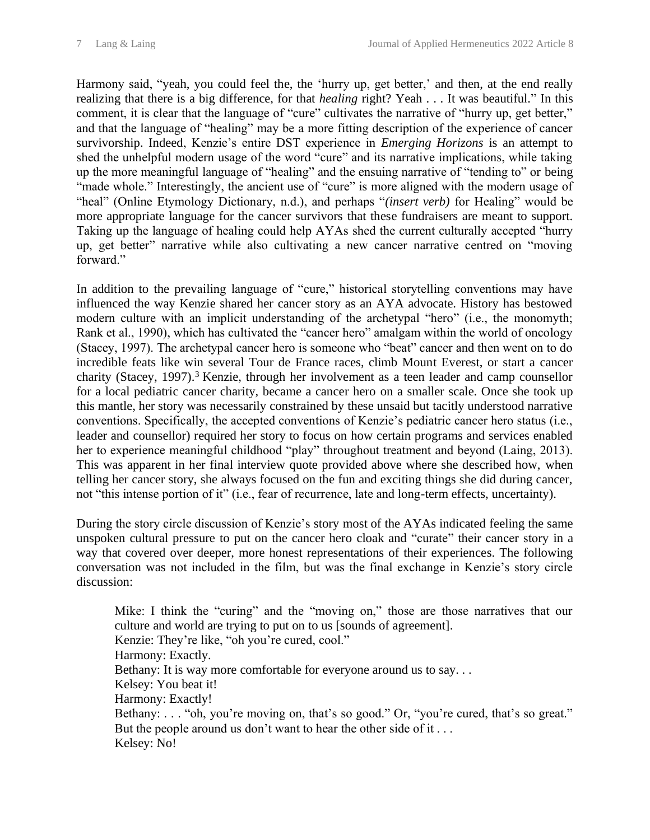Harmony said, "yeah, you could feel the, the 'hurry up, get better,' and then, at the end really realizing that there is a big difference, for that *healing* right? Yeah . . . It was beautiful." In this comment, it is clear that the language of "cure" cultivates the narrative of "hurry up, get better," and that the language of "healing" may be a more fitting description of the experience of cancer survivorship. Indeed, Kenzie's entire DST experience in *Emerging Horizons* is an attempt to shed the unhelpful modern usage of the word "cure" and its narrative implications, while taking up the more meaningful language of "healing" and the ensuing narrative of "tending to" or being "made whole." Interestingly, the ancient use of "cure" is more aligned with the modern usage of "heal" (Online Etymology Dictionary, n.d.), and perhaps "*(insert verb)* for Healing" would be more appropriate language for the cancer survivors that these fundraisers are meant to support. Taking up the language of healing could help AYAs shed the current culturally accepted "hurry up, get better" narrative while also cultivating a new cancer narrative centred on "moving forward."

In addition to the prevailing language of "cure," historical storytelling conventions may have influenced the way Kenzie shared her cancer story as an AYA advocate. History has bestowed modern culture with an implicit understanding of the archetypal "hero" (i.e., the monomyth; Rank et al., 1990), which has cultivated the "cancer hero" amalgam within the world of oncology (Stacey, 1997). The archetypal cancer hero is someone who "beat" cancer and then went on to do incredible feats like win several Tour de France races, climb Mount Everest, or start a cancer charity (Stacey, 1997).<sup>3</sup> Kenzie, through her involvement as a teen leader and camp counsellor for a local pediatric cancer charity, became a cancer hero on a smaller scale. Once she took up this mantle, her story was necessarily constrained by these unsaid but tacitly understood narrative conventions. Specifically, the accepted conventions of Kenzie's pediatric cancer hero status (i.e., leader and counsellor) required her story to focus on how certain programs and services enabled her to experience meaningful childhood "play" throughout treatment and beyond (Laing, 2013). This was apparent in her final interview quote provided above where she described how, when telling her cancer story, she always focused on the fun and exciting things she did during cancer, not "this intense portion of it" (i.e., fear of recurrence, late and long-term effects, uncertainty).

During the story circle discussion of Kenzie's story most of the AYAs indicated feeling the same unspoken cultural pressure to put on the cancer hero cloak and "curate" their cancer story in a way that covered over deeper, more honest representations of their experiences. The following conversation was not included in the film, but was the final exchange in Kenzie's story circle discussion:

Mike: I think the "curing" and the "moving on," those are those narratives that our culture and world are trying to put on to us [sounds of agreement]. Kenzie: They're like, "oh you're cured, cool." Harmony: Exactly. Bethany: It is way more comfortable for everyone around us to say. . . Kelsey: You beat it! Harmony: Exactly! Bethany: . . . "oh, you're moving on, that's so good." Or, "you're cured, that's so great." But the people around us don't want to hear the other side of it . . . Kelsey: No!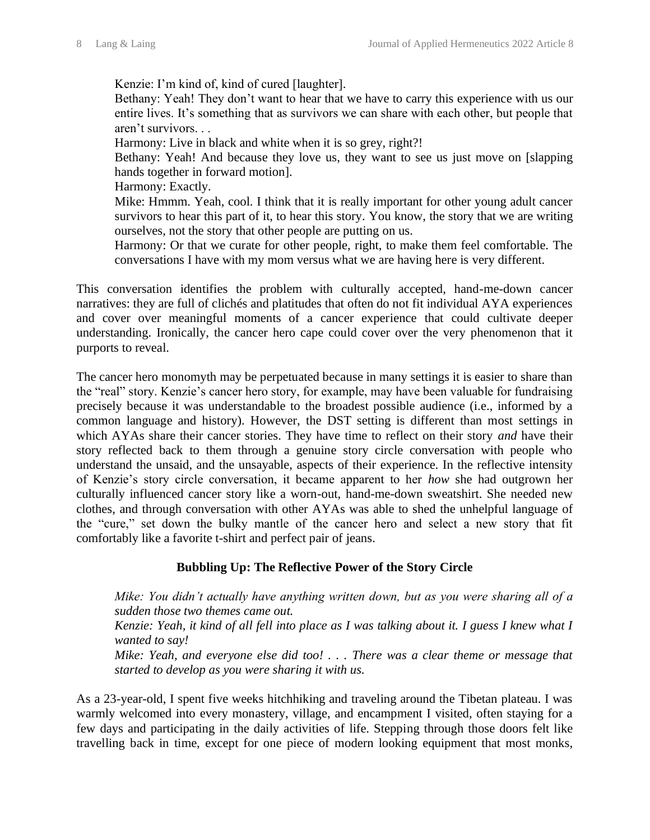Kenzie: I'm kind of, kind of cured [laughter].

Bethany: Yeah! They don't want to hear that we have to carry this experience with us our entire lives. It's something that as survivors we can share with each other, but people that aren't survivors. . .

Harmony: Live in black and white when it is so grey, right?!

Bethany: Yeah! And because they love us, they want to see us just move on [slapping hands together in forward motion].

Harmony: Exactly.

Mike: Hmmm. Yeah, cool. I think that it is really important for other young adult cancer survivors to hear this part of it, to hear this story. You know, the story that we are writing ourselves, not the story that other people are putting on us.

Harmony: Or that we curate for other people, right, to make them feel comfortable. The conversations I have with my mom versus what we are having here is very different.

This conversation identifies the problem with culturally accepted, hand-me-down cancer narratives: they are full of clichés and platitudes that often do not fit individual AYA experiences and cover over meaningful moments of a cancer experience that could cultivate deeper understanding. Ironically, the cancer hero cape could cover over the very phenomenon that it purports to reveal.

The cancer hero monomyth may be perpetuated because in many settings it is easier to share than the "real" story. Kenzie's cancer hero story, for example, may have been valuable for fundraising precisely because it was understandable to the broadest possible audience (i.e., informed by a common language and history). However, the DST setting is different than most settings in which AYAs share their cancer stories. They have time to reflect on their story *and* have their story reflected back to them through a genuine story circle conversation with people who understand the unsaid, and the unsayable, aspects of their experience. In the reflective intensity of Kenzie's story circle conversation, it became apparent to her *how* she had outgrown her culturally influenced cancer story like a worn-out, hand-me-down sweatshirt. She needed new clothes, and through conversation with other AYAs was able to shed the unhelpful language of the "cure," set down the bulky mantle of the cancer hero and select a new story that fit comfortably like a favorite t-shirt and perfect pair of jeans.

## **Bubbling Up: The Reflective Power of the Story Circle**

*Mike: You didn't actually have anything written down, but as you were sharing all of a sudden those two themes came out.*

*Kenzie: Yeah, it kind of all fell into place as I was talking about it. I guess I knew what I wanted to say!*

*Mike: Yeah, and everyone else did too! . . . There was a clear theme or message that started to develop as you were sharing it with us.*

As a 23-year-old, I spent five weeks hitchhiking and traveling around the Tibetan plateau. I was warmly welcomed into every monastery, village, and encampment I visited, often staying for a few days and participating in the daily activities of life. Stepping through those doors felt like travelling back in time, except for one piece of modern looking equipment that most monks,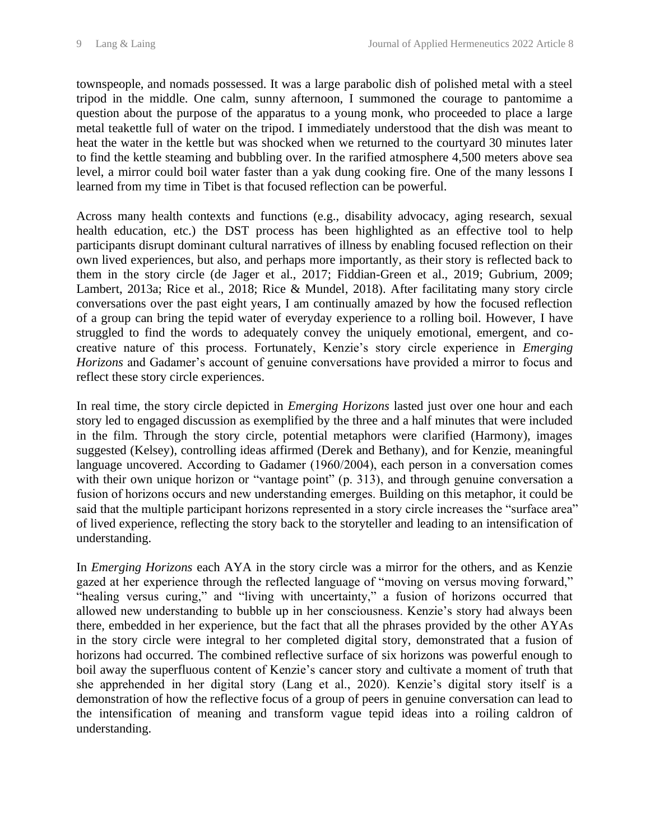townspeople, and nomads possessed. It was a large parabolic dish of polished metal with a steel tripod in the middle. One calm, sunny afternoon, I summoned the courage to pantomime a question about the purpose of the apparatus to a young monk, who proceeded to place a large metal teakettle full of water on the tripod. I immediately understood that the dish was meant to heat the water in the kettle but was shocked when we returned to the courtyard 30 minutes later to find the kettle steaming and bubbling over. In the rarified atmosphere 4,500 meters above sea level, a mirror could boil water faster than a yak dung cooking fire. One of the many lessons I learned from my time in Tibet is that focused reflection can be powerful.

Across many health contexts and functions (e.g., disability advocacy, aging research, sexual health education, etc.) the DST process has been highlighted as an effective tool to help participants disrupt dominant cultural narratives of illness by enabling focused reflection on their own lived experiences, but also, and perhaps more importantly, as their story is reflected back to them in the story circle (de Jager et al., 2017; Fiddian-Green et al., 2019; Gubrium, 2009; Lambert, 2013a; Rice et al., 2018; Rice & Mundel, 2018). After facilitating many story circle conversations over the past eight years, I am continually amazed by how the focused reflection of a group can bring the tepid water of everyday experience to a rolling boil. However, I have struggled to find the words to adequately convey the uniquely emotional, emergent, and cocreative nature of this process. Fortunately, Kenzie's story circle experience in *Emerging Horizons* and Gadamer's account of genuine conversations have provided a mirror to focus and reflect these story circle experiences.

In real time, the story circle depicted in *Emerging Horizons* lasted just over one hour and each story led to engaged discussion as exemplified by the three and a half minutes that were included in the film. Through the story circle, potential metaphors were clarified (Harmony), images suggested (Kelsey), controlling ideas affirmed (Derek and Bethany), and for Kenzie, meaningful language uncovered. According to Gadamer (1960/2004), each person in a conversation comes with their own unique horizon or "vantage point" (p. 313), and through genuine conversation a fusion of horizons occurs and new understanding emerges. Building on this metaphor, it could be said that the multiple participant horizons represented in a story circle increases the "surface area" of lived experience, reflecting the story back to the storyteller and leading to an intensification of understanding.

In *Emerging Horizons* each AYA in the story circle was a mirror for the others, and as Kenzie gazed at her experience through the reflected language of "moving on versus moving forward," "healing versus curing," and "living with uncertainty," a fusion of horizons occurred that allowed new understanding to bubble up in her consciousness. Kenzie's story had always been there, embedded in her experience, but the fact that all the phrases provided by the other AYAs in the story circle were integral to her completed digital story, demonstrated that a fusion of horizons had occurred. The combined reflective surface of six horizons was powerful enough to boil away the superfluous content of Kenzie's cancer story and cultivate a moment of truth that she apprehended in her digital story (Lang et al., 2020). Kenzie's digital story itself is a demonstration of how the reflective focus of a group of peers in genuine conversation can lead to the intensification of meaning and transform vague tepid ideas into a roiling caldron of understanding.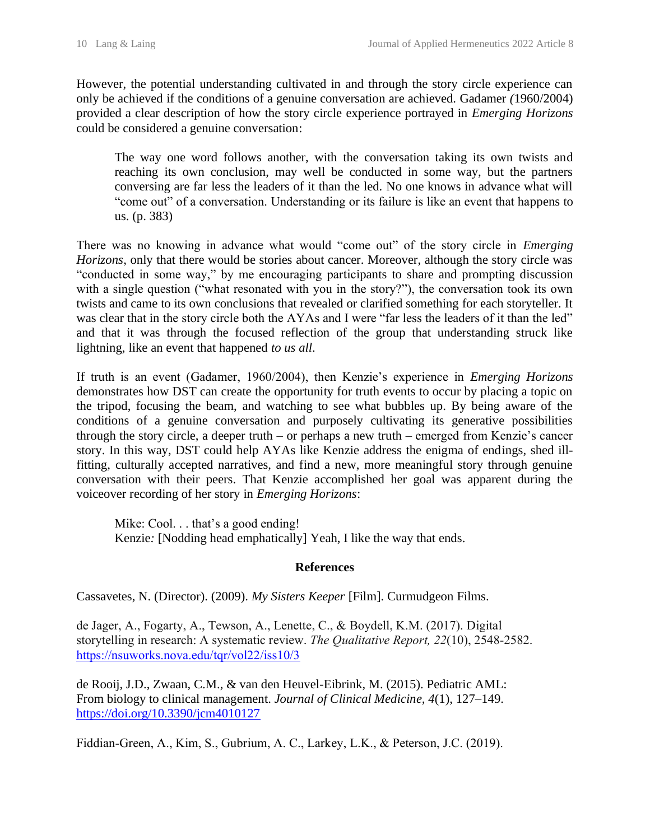However, the potential understanding cultivated in and through the story circle experience can only be achieved if the conditions of a genuine conversation are achieved. Gadamer *(*1960/2004) provided a clear description of how the story circle experience portrayed in *Emerging Horizons* could be considered a genuine conversation:

The way one word follows another, with the conversation taking its own twists and reaching its own conclusion, may well be conducted in some way, but the partners conversing are far less the leaders of it than the led. No one knows in advance what will "come out" of a conversation. Understanding or its failure is like an event that happens to us. (p. 383)

There was no knowing in advance what would "come out" of the story circle in *Emerging Horizons*, only that there would be stories about cancer. Moreover, although the story circle was "conducted in some way," by me encouraging participants to share and prompting discussion with a single question ("what resonated with you in the story?"), the conversation took its own twists and came to its own conclusions that revealed or clarified something for each storyteller. It was clear that in the story circle both the AYAs and I were "far less the leaders of it than the led" and that it was through the focused reflection of the group that understanding struck like lightning, like an event that happened *to us all*.

If truth is an event (Gadamer, 1960/2004), then Kenzie's experience in *Emerging Horizons*  demonstrates how DST can create the opportunity for truth events to occur by placing a topic on the tripod, focusing the beam, and watching to see what bubbles up. By being aware of the conditions of a genuine conversation and purposely cultivating its generative possibilities through the story circle, a deeper truth – or perhaps a new truth – emerged from Kenzie's cancer story. In this way, DST could help AYAs like Kenzie address the enigma of endings, shed illfitting, culturally accepted narratives, and find a new, more meaningful story through genuine conversation with their peers. That Kenzie accomplished her goal was apparent during the voiceover recording of her story in *Emerging Horizons*:

Mike: Cool. . . that's a good ending! Kenzie*:* [Nodding head emphatically] Yeah, I like the way that ends.

#### **References**

Cassavetes, N. (Director). (2009). *My Sisters Keeper* [Film]. Curmudgeon Films.

de Jager, A., Fogarty, A., Tewson, A., Lenette, C., & Boydell, K.M. (2017). Digital storytelling in research: A systematic review. *The Qualitative Report, 22*(10), 2548-2582. <https://nsuworks.nova.edu/tqr/vol22/iss10/3>

de Rooij, J.D., Zwaan, C.M., & van den Heuvel-Eibrink, M. (2015). Pediatric AML: From biology to clinical management. *Journal of Clinical Medicine, 4*(1), 127–149. <https://doi.org/10.3390/jcm4010127>

Fiddian-Green, A., Kim, S., Gubrium, A. C., Larkey, L.K., & Peterson, J.C. (2019).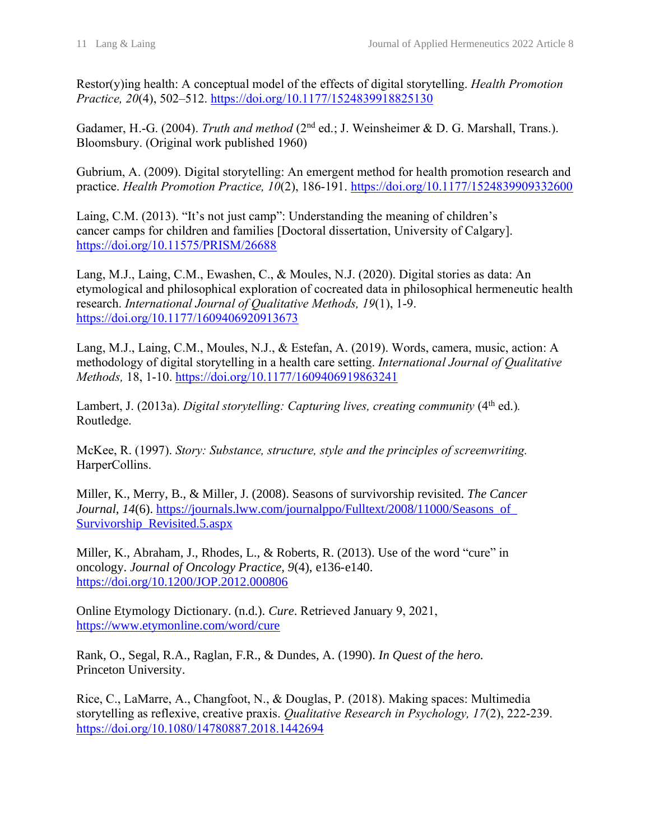Restor(y)ing health: A conceptual model of the effects of digital storytelling. *Health Promotion Practice, 20*(4), 502–512.<https://doi.org/10.1177/1524839918825130>

Gadamer, H.-G. (2004). *Truth and method* (2<sup>nd</sup> ed.; J. Weinsheimer & D. G. Marshall, Trans.). Bloomsbury. (Original work published 1960)

Gubrium, A. (2009). Digital storytelling: An emergent method for health promotion research and practice. *Health Promotion Practice, 10*(2), 186-191.<https://doi.org/10.1177/1524839909332600>

Laing, C.M. (2013). "It's not just camp": Understanding the meaning of children's cancer camps for children and families [Doctoral dissertation, University of Calgary]. <https://doi.org/10.11575/PRISM/26688>

Lang, M.J., Laing, C.M., Ewashen, C., & Moules, N.J. (2020). Digital stories as data: An etymological and philosophical exploration of cocreated data in philosophical hermeneutic health research. *International Journal of Qualitative Methods, 19*(1), 1-9. <https://doi.org/10.1177/1609406920913673>

Lang, M.J., Laing, C.M., Moules, N.J., & Estefan, A. (2019). Words, camera, music, action: A methodology of digital storytelling in a health care setting. *International Journal of Qualitative Methods,* 18, 1-10.<https://doi.org/10.1177/1609406919863241>

Lambert, J. (2013a). *Digital storytelling: Capturing lives, creating community* (4<sup>th</sup> ed.). Routledge.

McKee, R. (1997). *Story: Substance, structure, style and the principles of screenwriting.* HarperCollins.

Miller, K., Merry, B., & Miller, J. (2008). Seasons of survivorship revisited. *The Cancer Journal, 14*(6). https://journals.lww.com/journalppo/Fulltext/2008/11000/Seasons\_of [Survivorship\\_Revisited.5.aspx](https://journals.lww.com/journalppo/Fulltext/2008/11000/Seasons_of_%20%20Survivorship_Revisited.5.aspx)

Miller, K., Abraham, J., Rhodes, L., & Roberts, R. (2013). Use of the word "cure" in oncology. *Journal of Oncology Practice, 9*(4), e136-e140. <https://doi.org/10.1200/JOP.2012.000806>

Online Etymology Dictionary. (n.d.). *Cure*. Retrieved January 9, 2021, <https://www.etymonline.com/word/cure>

Rank, O., Segal, R.A., Raglan, F.R., & Dundes, A. (1990). *In Quest of the hero.* Princeton University.

Rice, C., LaMarre, A., Changfoot, N., & Douglas, P. (2018). Making spaces: Multimedia storytelling as reflexive, creative praxis. *Qualitative Research in Psychology, 17*(2), 222-239. <https://doi.org/10.1080/14780887.2018.1442694>